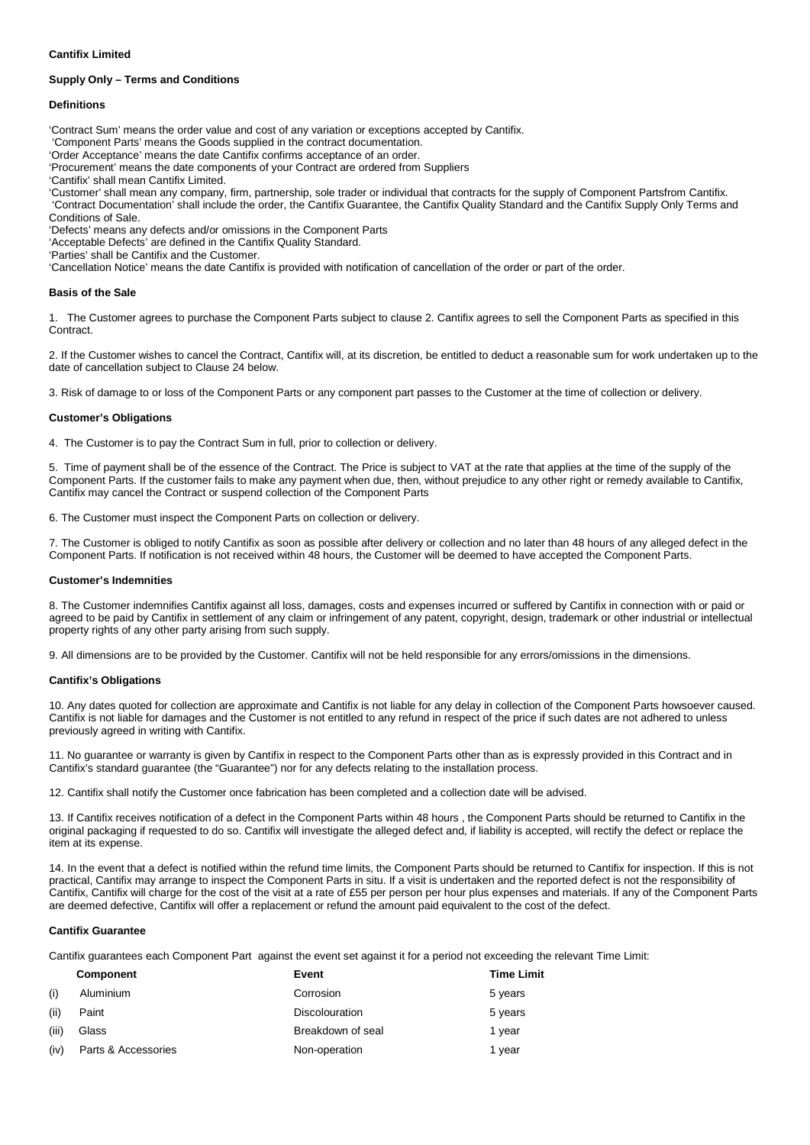# **Cantifix Limited**

# **Supply Only – Terms and Conditions**

## **Definitions**

'Contract Sum' means the order value and cost of any variation or exceptions accepted by Cantifix.

'Component Parts' means the Goods supplied in the contract documentation.

'Order Acceptance' means the date Cantifix confirms acceptance of an order.

'Procurement' means the date components of your Contract are ordered from Suppliers

'Cantifix' shall mean Cantifix Limited.

'Customer' shall mean any company, firm, partnership, sole trader or individual that contracts for the supply of Component Partsfrom Cantifix. 'Contract Documentation' shall include the order, the Cantifix Guarantee, the Cantifix Quality Standard and the Cantifix Supply Only Terms and Conditions of Sale.

'Defects' means any defects and/or omissions in the Component Parts

'Acceptable Defects' are defined in the Cantifix Quality Standard.

'Parties' shall be Cantifix and the Customer.

'Cancellation Notice' means the date Cantifix is provided with notification of cancellation of the order or part of the order.

## **Basis of the Sale**

1. The Customer agrees to purchase the Component Parts subject to clause 2. Cantifix agrees to sell the Component Parts as specified in this Contract.

2. If the Customer wishes to cancel the Contract, Cantifix will, at its discretion, be entitled to deduct a reasonable sum for work undertaken up to the date of cancellation subject to Clause 24 below.

3. Risk of damage to or loss of the Component Parts or any component part passes to the Customer at the time of collection or delivery.

## **Customer's Obligations**

4. The Customer is to pay the Contract Sum in full, prior to collection or delivery.

5. Time of payment shall be of the essence of the Contract. The Price is subject to VAT at the rate that applies at the time of the supply of the Component Parts. If the customer fails to make any payment when due, then, without prejudice to any other right or remedy available to Cantifix, Cantifix may cancel the Contract or suspend collection of the Component Parts

6. The Customer must inspect the Component Parts on collection or delivery.

7. The Customer is obliged to notify Cantifix as soon as possible after delivery or collection and no later than 48 hours of any alleged defect in the Component Parts. If notification is not received within 48 hours, the Customer will be deemed to have accepted the Component Parts.

## **Customer's Indemnities**

8. The Customer indemnifies Cantifix against all loss, damages, costs and expenses incurred or suffered by Cantifix in connection with or paid or agreed to be paid by Cantifix in settlement of any claim or infringement of any patent, copyright, design, trademark or other industrial or intellectual property rights of any other party arising from such supply.

9. All dimensions are to be provided by the Customer. Cantifix will not be held responsible for any errors/omissions in the dimensions.

# **Cantifix's Obligations**

10. Any dates quoted for collection are approximate and Cantifix is not liable for any delay in collection of the Component Parts howsoever caused. Cantifix is not liable for damages and the Customer is not entitled to any refund in respect of the price if such dates are not adhered to unless previously agreed in writing with Cantifix.

11. No guarantee or warranty is given by Cantifix in respect to the Component Parts other than as is expressly provided in this Contract and in Cantifix's standard guarantee (the "Guarantee") nor for any defects relating to the installation process.

12. Cantifix shall notify the Customer once fabrication has been completed and a collection date will be advised.

13. If Cantifix receives notification of a defect in the Component Parts within 48 hours , the Component Parts should be returned to Cantifix in the original packaging if requested to do so. Cantifix will investigate the alleged defect and, if liability is accepted, will rectify the defect or replace the item at its expense.

14. In the event that a defect is notified within the refund time limits, the Component Parts should be returned to Cantifix for inspection. If this is not practical, Cantifix may arrange to inspect the Component Parts in situ. If a visit is undertaken and the reported defect is not the responsibility of Cantifix, Cantifix will charge for the cost of the visit at a rate of £55 per person per hour plus expenses and materials. If any of the Component Parts are deemed defective, Cantifix will offer a replacement or refund the amount paid equivalent to the cost of the defect.

## **Cantifix Guarantee**

Cantifix guarantees each Component Part against the event set against it for a period not exceeding the relevant Time Limit:

|       | Component           | Event                 | <b>Time Limit</b> |
|-------|---------------------|-----------------------|-------------------|
| (i)   | Aluminium           | Corrosion             | 5 years           |
| (ii)  | Paint               | <b>Discolouration</b> | 5 years           |
| (iii) | Glass               | Breakdown of seal     | 1 year            |
| (iv)  | Parts & Accessories | Non-operation         | 1 year            |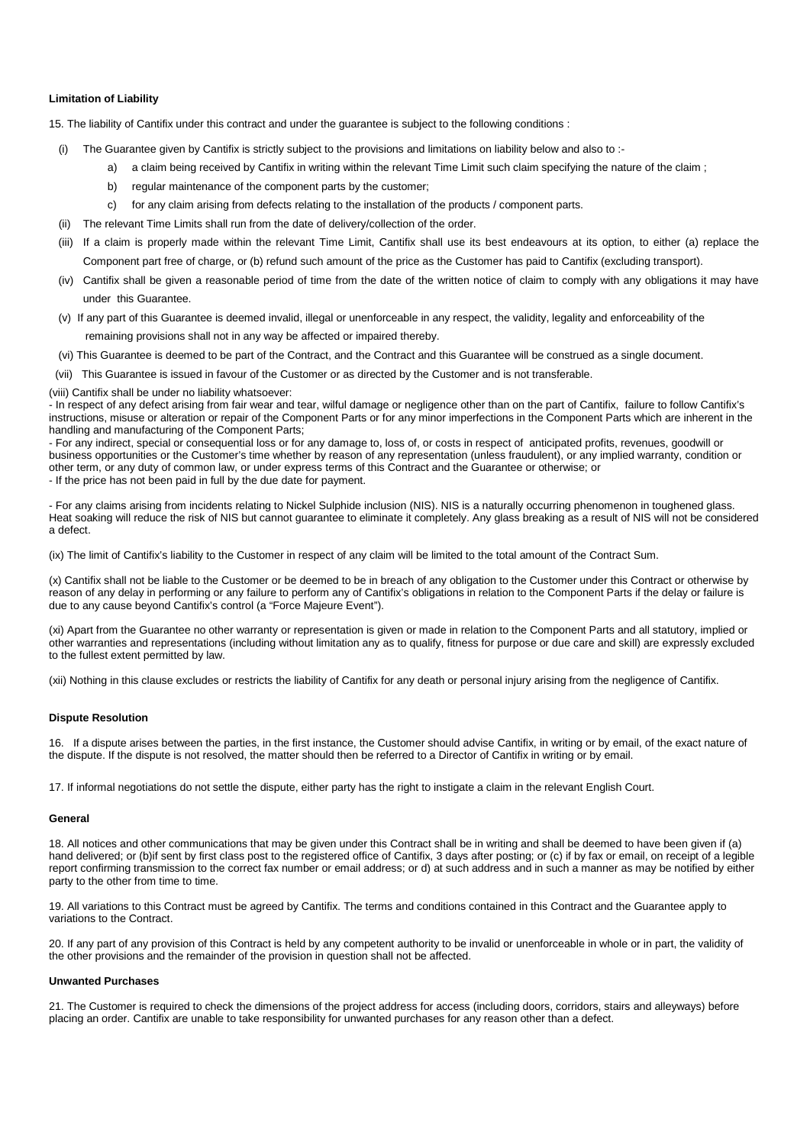## **Limitation of Liability**

15. The liability of Cantifix under this contract and under the guarantee is subject to the following conditions :

- (i) The Guarantee given by Cantifix is strictly subject to the provisions and limitations on liability below and also to :
	- a) a claim being received by Cantifix in writing within the relevant Time Limit such claim specifying the nature of the claim;
	- b) regular maintenance of the component parts by the customer;
	- c) for any claim arising from defects relating to the installation of the products / component parts.
- (ii) The relevant Time Limits shall run from the date of delivery/collection of the order.
- (iii) If a claim is properly made within the relevant Time Limit, Cantifix shall use its best endeavours at its option, to either (a) replace the Component part free of charge, or (b) refund such amount of the price as the Customer has paid to Cantifix (excluding transport).
- (iv) Cantifix shall be given a reasonable period of time from the date of the written notice of claim to comply with any obligations it may have under this Guarantee.
- (v) If any part of this Guarantee is deemed invalid, illegal or unenforceable in any respect, the validity, legality and enforceability of the remaining provisions shall not in any way be affected or impaired thereby.
- (vi) This Guarantee is deemed to be part of the Contract, and the Contract and this Guarantee will be construed as a single document.
- (vii) This Guarantee is issued in favour of the Customer or as directed by the Customer and is not transferable.
- (viii) Cantifix shall be under no liability whatsoever:

- In respect of any defect arising from fair wear and tear, wilful damage or negligence other than on the part of Cantifix, failure to follow Cantifix's instructions, misuse or alteration or repair of the Component Parts or for any minor imperfections in the Component Parts which are inherent in the handling and manufacturing of the Component Parts;

- For any indirect, special or consequential loss or for any damage to, loss of, or costs in respect of anticipated profits, revenues, goodwill or business opportunities or the Customer's time whether by reason of any representation (unless fraudulent), or any implied warranty, condition or other term, or any duty of common law, or under express terms of this Contract and the Guarantee or otherwise; or

- If the price has not been paid in full by the due date for payment.

- For any claims arising from incidents relating to Nickel Sulphide inclusion (NIS). NIS is a naturally occurring phenomenon in toughened glass. Heat soaking will reduce the risk of NIS but cannot guarantee to eliminate it completely. Any glass breaking as a result of NIS will not be considered a defect.

(ix) The limit of Cantifix's liability to the Customer in respect of any claim will be limited to the total amount of the Contract Sum.

(x) Cantifix shall not be liable to the Customer or be deemed to be in breach of any obligation to the Customer under this Contract or otherwise by reason of any delay in performing or any failure to perform any of Cantifix's obligations in relation to the Component Parts if the delay or failure is due to any cause beyond Cantifix's control (a "Force Majeure Event").

(xi) Apart from the Guarantee no other warranty or representation is given or made in relation to the Component Parts and all statutory, implied or other warranties and representations (including without limitation any as to qualify, fitness for purpose or due care and skill) are expressly excluded to the fullest extent permitted by law.

(xii) Nothing in this clause excludes or restricts the liability of Cantifix for any death or personal injury arising from the negligence of Cantifix.

#### **Dispute Resolution**

16. If a dispute arises between the parties, in the first instance, the Customer should advise Cantifix, in writing or by email, of the exact nature of the dispute. If the dispute is not resolved, the matter should then be referred to a Director of Cantifix in writing or by email.

17. If informal negotiations do not settle the dispute, either party has the right to instigate a claim in the relevant English Court.

#### **General**

18. All notices and other communications that may be given under this Contract shall be in writing and shall be deemed to have been given if (a) hand delivered; or (b)if sent by first class post to the registered office of Cantifix, 3 days after posting; or (c) if by fax or email, on receipt of a legible report confirming transmission to the correct fax number or email address; or d) at such address and in such a manner as may be notified by either party to the other from time to time.

19. All variations to this Contract must be agreed by Cantifix. The terms and conditions contained in this Contract and the Guarantee apply to variations to the Contract.

20. If any part of any provision of this Contract is held by any competent authority to be invalid or unenforceable in whole or in part, the validity of the other provisions and the remainder of the provision in question shall not be affected.

# **Unwanted Purchases**

21. The Customer is required to check the dimensions of the project address for access (including doors, corridors, stairs and alleyways) before placing an order. Cantifix are unable to take responsibility for unwanted purchases for any reason other than a defect.